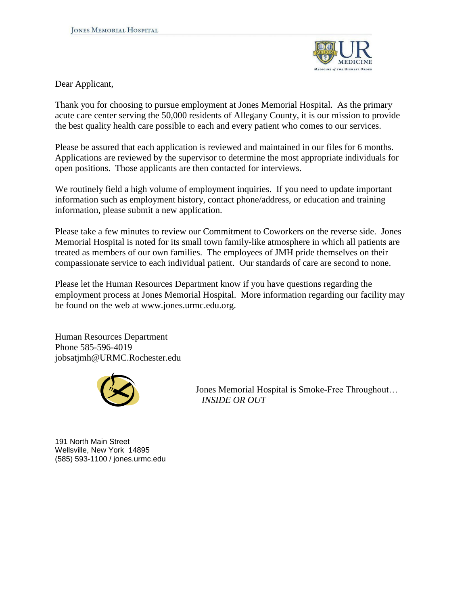

Dear Applicant,

Thank you for choosing to pursue employment at Jones Memorial Hospital. As the primary acute care center serving the 50,000 residents of Allegany County, it is our mission to provide the best quality health care possible to each and every patient who comes to our services.

Please be assured that each application is reviewed and maintained in our files for 6 months. Applications are reviewed by the supervisor to determine the most appropriate individuals for open positions. Those applicants are then contacted for interviews.

We routinely field a high volume of employment inquiries. If you need to update important information such as employment history, contact phone/address, or education and training information, please submit a new application.

Please take a few minutes to review our Commitment to Coworkers on the reverse side. Jones Memorial Hospital is noted for its small town family-like atmosphere in which all patients are treated as members of our own families. The employees of JMH pride themselves on their compassionate service to each individual patient. Our standards of care are second to none.

Please let the Human Resources Department know if you have questions regarding the employment process at Jones Memorial Hospital. More information regarding our facility may be found on the web at www.jones.urmc.edu.org.

Human Resources Department Phone 585-596-4019 jobsatjmh@URMC.Rochester.edu



 Jones Memorial Hospital is Smoke-Free Throughout… *INSIDE OR OUT*

191 North Main Street Wellsville, New York 14895 (585) 593-1100 / jones.urmc.edu